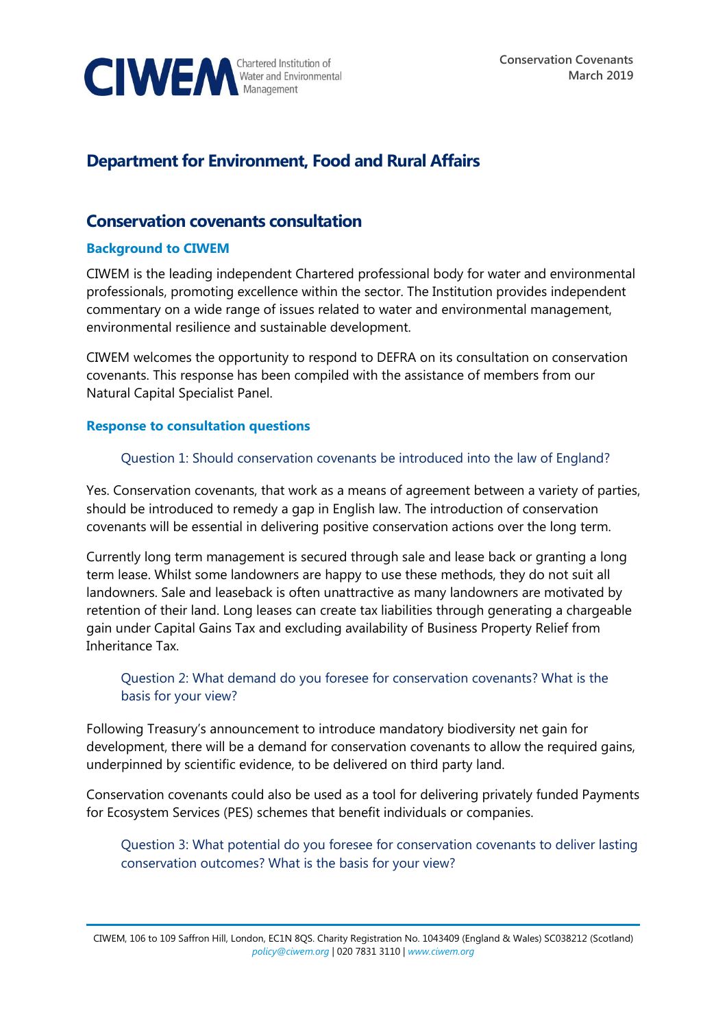

# **Department for Environment, Food and Rural Affairs**

# **Conservation covenants consultation**

### **Background to CIWEM**

CIWEM is the leading independent Chartered professional body for water and environmental professionals, promoting excellence within the sector. The Institution provides independent commentary on a wide range of issues related to water and environmental management, environmental resilience and sustainable development.

CIWEM welcomes the opportunity to respond to DEFRA on its consultation on conservation covenants. This response has been compiled with the assistance of members from our Natural Capital Specialist Panel.

#### **Response to consultation questions**

#### Question 1: Should conservation covenants be introduced into the law of England?

Yes. Conservation covenants, that work as a means of agreement between a variety of parties, should be introduced to remedy a gap in English law. The introduction of conservation covenants will be essential in delivering positive conservation actions over the long term.

Currently long term management is secured through sale and lease back or granting a long term lease. Whilst some landowners are happy to use these methods, they do not suit all landowners. Sale and leaseback is often unattractive as many landowners are motivated by retention of their land. Long leases can create tax liabilities through generating a chargeable gain under Capital Gains Tax and excluding availability of Business Property Relief from Inheritance Tax.

## Question 2: What demand do you foresee for conservation covenants? What is the basis for your view?

Following Treasury's announcement to introduce mandatory biodiversity net gain for development, there will be a demand for conservation covenants to allow the required gains, underpinned by scientific evidence, to be delivered on third party land.

Conservation covenants could also be used as a tool for delivering privately funded Payments for Ecosystem Services (PES) schemes that benefit individuals or companies.

Question 3: What potential do you foresee for conservation covenants to deliver lasting conservation outcomes? What is the basis for your view?

CIWEM, 106 to 109 Saffron Hill, London, EC1N 8QS. Charity Registration No. 1043409 (England & Wales) SC038212 (Scotland) *[policy@ciwem.org](mailto:policy@ciwem.org)* | 020 7831 3110 | *[www.ciwem.org](http://www.ciwem.org/)*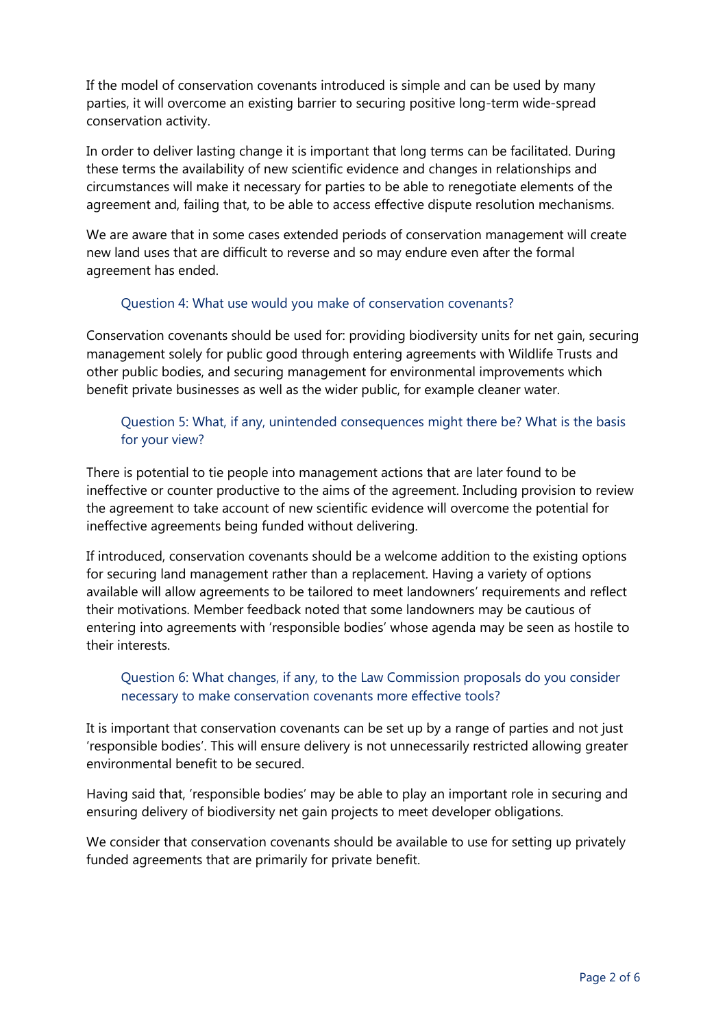If the model of conservation covenants introduced is simple and can be used by many parties, it will overcome an existing barrier to securing positive long-term wide-spread conservation activity.

In order to deliver lasting change it is important that long terms can be facilitated. During these terms the availability of new scientific evidence and changes in relationships and circumstances will make it necessary for parties to be able to renegotiate elements of the agreement and, failing that, to be able to access effective dispute resolution mechanisms.

We are aware that in some cases extended periods of conservation management will create new land uses that are difficult to reverse and so may endure even after the formal agreement has ended.

### Question 4: What use would you make of conservation covenants?

Conservation covenants should be used for: providing biodiversity units for net gain, securing management solely for public good through entering agreements with Wildlife Trusts and other public bodies, and securing management for environmental improvements which benefit private businesses as well as the wider public, for example cleaner water.

## Question 5: What, if any, unintended consequences might there be? What is the basis for your view?

There is potential to tie people into management actions that are later found to be ineffective or counter productive to the aims of the agreement. Including provision to review the agreement to take account of new scientific evidence will overcome the potential for ineffective agreements being funded without delivering.

If introduced, conservation covenants should be a welcome addition to the existing options for securing land management rather than a replacement. Having a variety of options available will allow agreements to be tailored to meet landowners' requirements and reflect their motivations. Member feedback noted that some landowners may be cautious of entering into agreements with 'responsible bodies' whose agenda may be seen as hostile to their interests.

### Question 6: What changes, if any, to the Law Commission proposals do you consider necessary to make conservation covenants more effective tools?

It is important that conservation covenants can be set up by a range of parties and not just 'responsible bodies'. This will ensure delivery is not unnecessarily restricted allowing greater environmental benefit to be secured.

Having said that, 'responsible bodies' may be able to play an important role in securing and ensuring delivery of biodiversity net gain projects to meet developer obligations.

We consider that conservation covenants should be available to use for setting up privately funded agreements that are primarily for private benefit.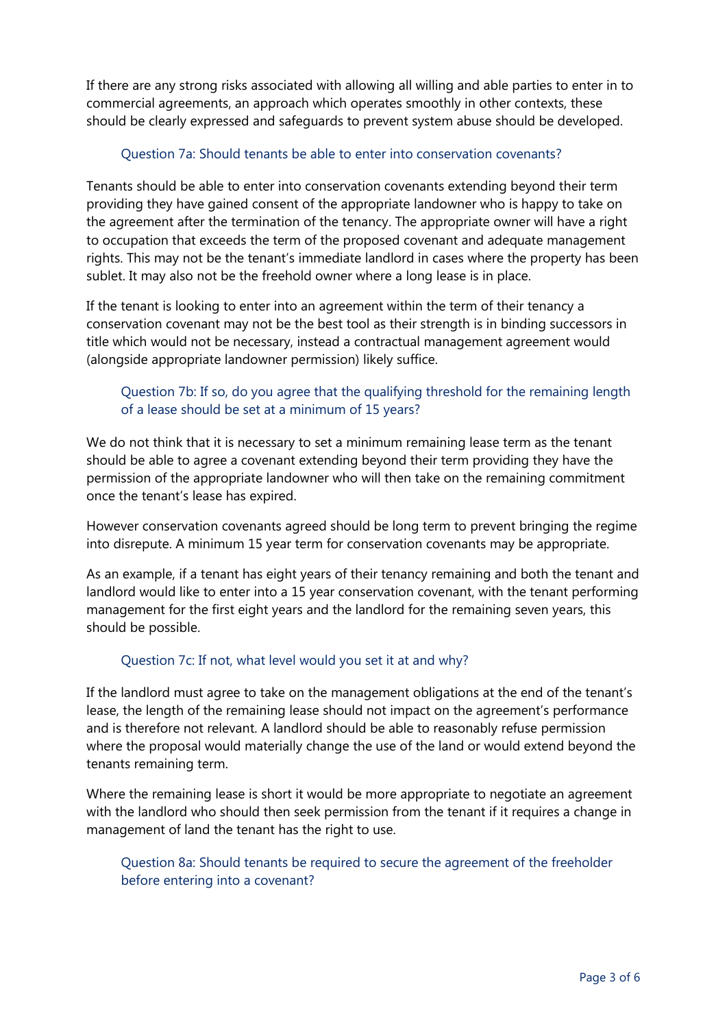If there are any strong risks associated with allowing all willing and able parties to enter in to commercial agreements, an approach which operates smoothly in other contexts, these should be clearly expressed and safeguards to prevent system abuse should be developed.

## Question 7a: Should tenants be able to enter into conservation covenants?

Tenants should be able to enter into conservation covenants extending beyond their term providing they have gained consent of the appropriate landowner who is happy to take on the agreement after the termination of the tenancy. The appropriate owner will have a right to occupation that exceeds the term of the proposed covenant and adequate management rights. This may not be the tenant's immediate landlord in cases where the property has been sublet. It may also not be the freehold owner where a long lease is in place.

If the tenant is looking to enter into an agreement within the term of their tenancy a conservation covenant may not be the best tool as their strength is in binding successors in title which would not be necessary, instead a contractual management agreement would (alongside appropriate landowner permission) likely suffice.

# Question 7b: If so, do you agree that the qualifying threshold for the remaining length of a lease should be set at a minimum of 15 years?

We do not think that it is necessary to set a minimum remaining lease term as the tenant should be able to agree a covenant extending beyond their term providing they have the permission of the appropriate landowner who will then take on the remaining commitment once the tenant's lease has expired.

However conservation covenants agreed should be long term to prevent bringing the regime into disrepute. A minimum 15 year term for conservation covenants may be appropriate.

As an example, if a tenant has eight years of their tenancy remaining and both the tenant and landlord would like to enter into a 15 year conservation covenant, with the tenant performing management for the first eight years and the landlord for the remaining seven years, this should be possible.

### Question 7c: If not, what level would you set it at and why?

If the landlord must agree to take on the management obligations at the end of the tenant's lease, the length of the remaining lease should not impact on the agreement's performance and is therefore not relevant. A landlord should be able to reasonably refuse permission where the proposal would materially change the use of the land or would extend beyond the tenants remaining term.

Where the remaining lease is short it would be more appropriate to negotiate an agreement with the landlord who should then seek permission from the tenant if it requires a change in management of land the tenant has the right to use.

## Question 8a: Should tenants be required to secure the agreement of the freeholder before entering into a covenant?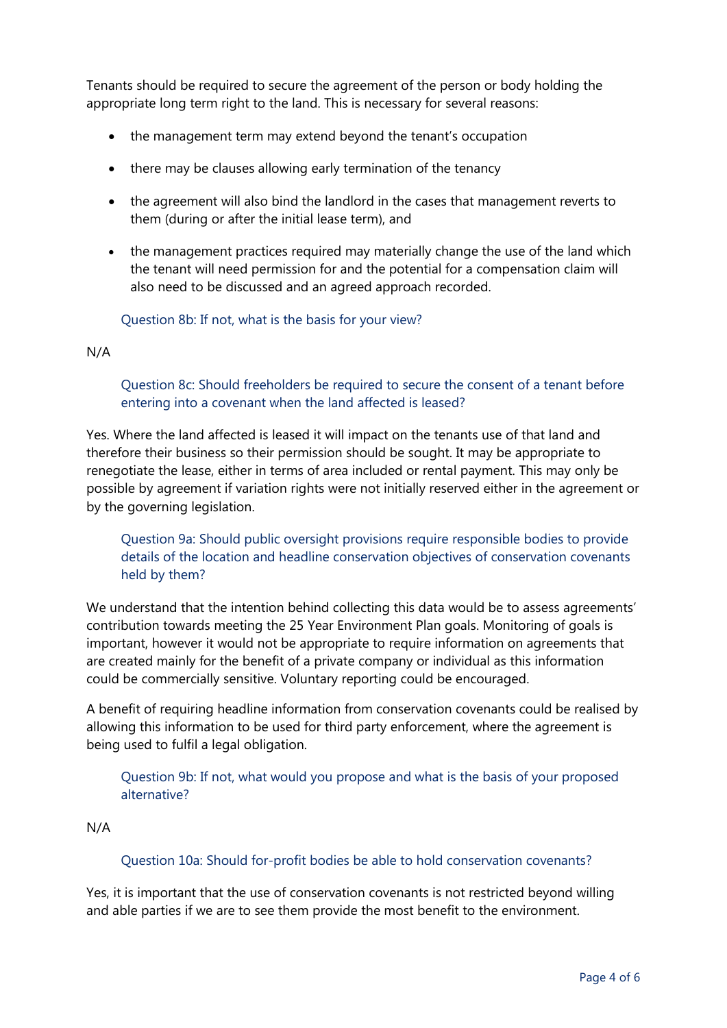Tenants should be required to secure the agreement of the person or body holding the appropriate long term right to the land. This is necessary for several reasons:

- the management term may extend beyond the tenant's occupation
- there may be clauses allowing early termination of the tenancy
- the agreement will also bind the landlord in the cases that management reverts to them (during or after the initial lease term), and
- the management practices required may materially change the use of the land which the tenant will need permission for and the potential for a compensation claim will also need to be discussed and an agreed approach recorded.

Question 8b: If not, what is the basis for your view?

#### N/A

Question 8c: Should freeholders be required to secure the consent of a tenant before entering into a covenant when the land affected is leased?

Yes. Where the land affected is leased it will impact on the tenants use of that land and therefore their business so their permission should be sought. It may be appropriate to renegotiate the lease, either in terms of area included or rental payment. This may only be possible by agreement if variation rights were not initially reserved either in the agreement or by the governing legislation.

Question 9a: Should public oversight provisions require responsible bodies to provide details of the location and headline conservation objectives of conservation covenants held by them?

We understand that the intention behind collecting this data would be to assess agreements' contribution towards meeting the 25 Year Environment Plan goals. Monitoring of goals is important, however it would not be appropriate to require information on agreements that are created mainly for the benefit of a private company or individual as this information could be commercially sensitive. Voluntary reporting could be encouraged.

A benefit of requiring headline information from conservation covenants could be realised by allowing this information to be used for third party enforcement, where the agreement is being used to fulfil a legal obligation.

Question 9b: If not, what would you propose and what is the basis of your proposed alternative?

### N/A

### Question 10a: Should for-profit bodies be able to hold conservation covenants?

Yes, it is important that the use of conservation covenants is not restricted beyond willing and able parties if we are to see them provide the most benefit to the environment.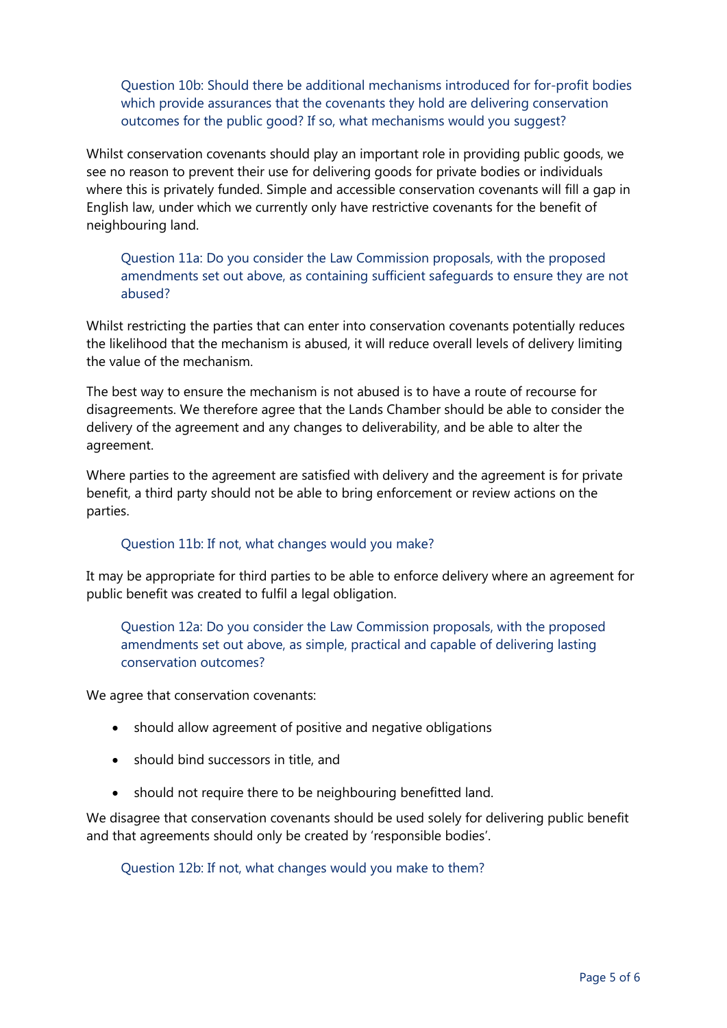Question 10b: Should there be additional mechanisms introduced for for-profit bodies which provide assurances that the covenants they hold are delivering conservation outcomes for the public good? If so, what mechanisms would you suggest?

Whilst conservation covenants should play an important role in providing public goods, we see no reason to prevent their use for delivering goods for private bodies or individuals where this is privately funded. Simple and accessible conservation covenants will fill a gap in English law, under which we currently only have restrictive covenants for the benefit of neighbouring land.

Question 11a: Do you consider the Law Commission proposals, with the proposed amendments set out above, as containing sufficient safeguards to ensure they are not abused?

Whilst restricting the parties that can enter into conservation covenants potentially reduces the likelihood that the mechanism is abused, it will reduce overall levels of delivery limiting the value of the mechanism.

The best way to ensure the mechanism is not abused is to have a route of recourse for disagreements. We therefore agree that the Lands Chamber should be able to consider the delivery of the agreement and any changes to deliverability, and be able to alter the agreement.

Where parties to the agreement are satisfied with delivery and the agreement is for private benefit, a third party should not be able to bring enforcement or review actions on the parties.

### Question 11b: If not, what changes would you make?

It may be appropriate for third parties to be able to enforce delivery where an agreement for public benefit was created to fulfil a legal obligation.

Question 12a: Do you consider the Law Commission proposals, with the proposed amendments set out above, as simple, practical and capable of delivering lasting conservation outcomes?

We agree that conservation covenants:

- should allow agreement of positive and negative obligations
- should bind successors in title, and
- should not require there to be neighbouring benefitted land.

We disagree that conservation covenants should be used solely for delivering public benefit and that agreements should only be created by 'responsible bodies'.

Question 12b: If not, what changes would you make to them?